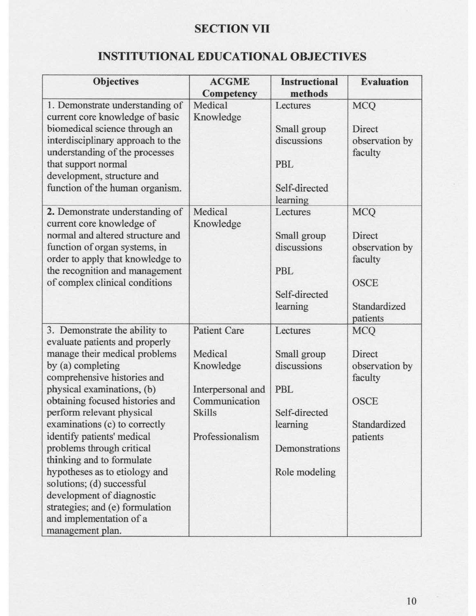## **SECTION VII**

## **INSTITUTIONAL EDUCATIONAL OBJECTIVES**

| <b>Objectives</b>                                                                                                                                                                                                                                                                                                                                                                                                                                                                                                                                        | <b>ACGME</b>                                                                                                          | <b>Instructional</b>                                                                                          | <b>Evaluation</b>                                                                            |
|----------------------------------------------------------------------------------------------------------------------------------------------------------------------------------------------------------------------------------------------------------------------------------------------------------------------------------------------------------------------------------------------------------------------------------------------------------------------------------------------------------------------------------------------------------|-----------------------------------------------------------------------------------------------------------------------|---------------------------------------------------------------------------------------------------------------|----------------------------------------------------------------------------------------------|
| 1. Demonstrate understanding of                                                                                                                                                                                                                                                                                                                                                                                                                                                                                                                          | Competency<br>Medical                                                                                                 | methods<br>Lectures                                                                                           | <b>MCQ</b>                                                                                   |
| current core knowledge of basic<br>biomedical science through an<br>interdisciplinary approach to the<br>understanding of the processes<br>that support normal<br>development, structure and<br>function of the human organism.                                                                                                                                                                                                                                                                                                                          | Knowledge                                                                                                             | Small group<br>discussions<br>PBL<br>Self-directed<br>learning                                                | Direct<br>observation by<br>faculty                                                          |
| 2. Demonstrate understanding of<br>current core knowledge of<br>normal and altered structure and<br>function of organ systems, in<br>order to apply that knowledge to<br>the recognition and management<br>of complex clinical conditions                                                                                                                                                                                                                                                                                                                | Medical<br>Knowledge                                                                                                  | Lectures<br>Small group<br>discussions<br>PBL<br>Self-directed<br>learning                                    | <b>MCQ</b><br>Direct<br>observation by<br>faculty<br><b>OSCE</b><br>Standardized<br>patients |
| 3. Demonstrate the ability to<br>evaluate patients and properly<br>manage their medical problems<br>by (a) completing<br>comprehensive histories and<br>physical examinations, (b)<br>obtaining focused histories and<br>perform relevant physical<br>examinations (c) to correctly<br>identify patients' medical<br>problems through critical<br>thinking and to formulate<br>hypotheses as to etiology and<br>solutions; (d) successful<br>development of diagnostic<br>strategies; and (e) formulation<br>and implementation of a<br>management plan. | <b>Patient Care</b><br>Medical<br>Knowledge<br>Interpersonal and<br>Communication<br><b>Skills</b><br>Professionalism | Lectures<br>Small group<br>discussions<br>PBL<br>Self-directed<br>learning<br>Demonstrations<br>Role modeling | <b>MCQ</b><br>Direct<br>observation by<br>faculty<br><b>OSCE</b><br>Standardized<br>patients |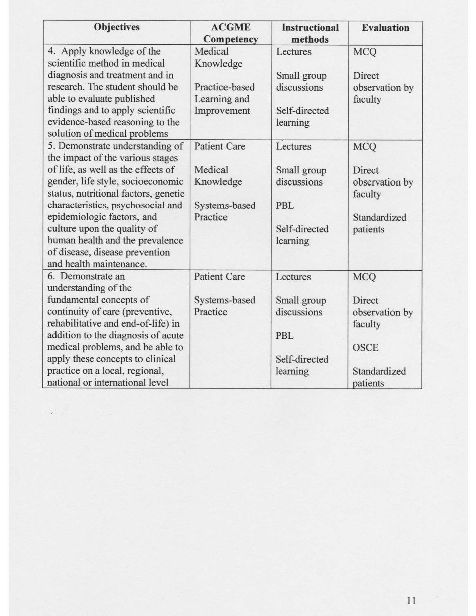| <b>Objectives</b>                                                     | <b>ACGME</b><br>Competency     | <b>Instructional</b><br>methods | <b>Evaluation</b>         |
|-----------------------------------------------------------------------|--------------------------------|---------------------------------|---------------------------|
| 4. Apply knowledge of the                                             | Medical                        | Lectures                        | <b>MCQ</b>                |
| scientific method in medical                                          | Knowledge                      |                                 |                           |
| diagnosis and treatment and in                                        |                                | Small group                     | Direct                    |
| research. The student should be<br>able to evaluate published         | Practice-based<br>Learning and | discussions                     | observation by<br>faculty |
| findings and to apply scientific                                      | Improvement                    | Self-directed                   |                           |
| evidence-based reasoning to the                                       |                                | learning                        |                           |
| solution of medical problems                                          |                                |                                 |                           |
| 5. Demonstrate understanding of                                       | <b>Patient Care</b>            | Lectures                        | <b>MCQ</b>                |
| the impact of the various stages                                      |                                |                                 |                           |
| of life, as well as the effects of                                    | Medical                        | Small group                     | Direct                    |
| gender, life style, socioeconomic                                     | Knowledge                      | discussions                     | observation by            |
| status, nutritional factors, genetic                                  |                                |                                 | faculty                   |
| characteristics, psychosocial and                                     | Systems-based                  | <b>PBL</b>                      |                           |
| epidemiologic factors, and                                            | Practice                       |                                 | Standardized              |
| culture upon the quality of                                           |                                | Self-directed                   | patients                  |
| human health and the prevalence                                       |                                | learning                        |                           |
| of disease, disease prevention                                        |                                |                                 |                           |
| and health maintenance.                                               |                                |                                 |                           |
| 6. Demonstrate an                                                     | <b>Patient Care</b>            | Lectures                        | <b>MCQ</b>                |
| understanding of the                                                  |                                |                                 |                           |
| fundamental concepts of                                               | Systems-based<br>Practice      | Small group<br>discussions      | Direct                    |
| continuity of care (preventive,<br>rehabilitative and end-of-life) in |                                |                                 | observation by            |
| addition to the diagnosis of acute                                    |                                | PBL                             | faculty                   |
| medical problems, and be able to                                      |                                |                                 | <b>OSCE</b>               |
| apply these concepts to clinical                                      |                                | Self-directed                   |                           |
| practice on a local, regional,                                        |                                | learning                        | Standardized              |
| national or international level                                       |                                |                                 | patients                  |

 $\kappa_{\rm B}$  ,  $\frac{1}{\kappa}$ 

 $\sim$   $\sim$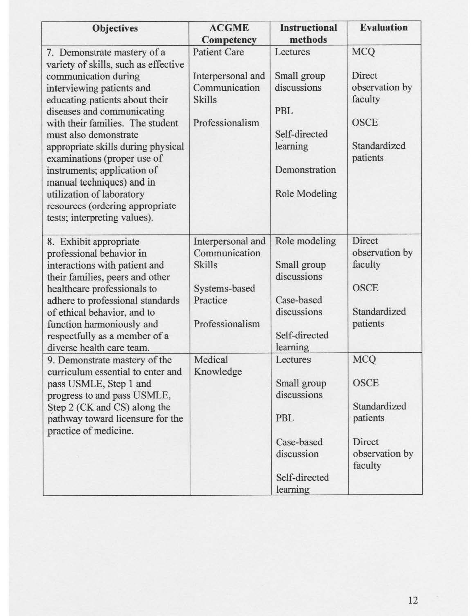| <b>Objectives</b>                                                                                                                                                                                                                                                                                                                                                                                                                                       | <b>ACGME</b><br><b>Competency</b>                                                                   | <b>Instructional</b><br>methods                                                                               | <b>Evaluation</b>                                                                            |
|---------------------------------------------------------------------------------------------------------------------------------------------------------------------------------------------------------------------------------------------------------------------------------------------------------------------------------------------------------------------------------------------------------------------------------------------------------|-----------------------------------------------------------------------------------------------------|---------------------------------------------------------------------------------------------------------------|----------------------------------------------------------------------------------------------|
| 7. Demonstrate mastery of a                                                                                                                                                                                                                                                                                                                                                                                                                             | <b>Patient Care</b>                                                                                 | Lectures                                                                                                      | <b>MCQ</b>                                                                                   |
| variety of skills, such as effective<br>communication during<br>interviewing patients and<br>educating patients about their<br>diseases and communicating<br>with their families. The student<br>must also demonstrate<br>appropriate skills during physical<br>examinations (proper use of<br>instruments; application of<br>manual techniques) and in<br>utilization of laboratory<br>resources (ordering appropriate<br>tests; interpreting values). | Interpersonal and<br>Communication<br><b>Skills</b><br>Professionalism                              | Small group<br>discussions<br><b>PBL</b><br>Self-directed<br>learning<br>Demonstration<br>Role Modeling       | Direct<br>observation by<br>faculty<br><b>OSCE</b><br>Standardized<br>patients               |
| 8. Exhibit appropriate<br>professional behavior in<br>interactions with patient and<br>their families, peers and other<br>healthcare professionals to<br>adhere to professional standards<br>of ethical behavior, and to<br>function harmoniously and<br>respectfully as a member of a<br>diverse health care team.                                                                                                                                     | Interpersonal and<br>Communication<br><b>Skills</b><br>Systems-based<br>Practice<br>Professionalism | Role modeling<br>Small group<br>discussions<br>Case-based<br>discussions<br>Self-directed<br>learning         | Direct<br>observation by<br>faculty<br><b>OSCE</b><br>Standardized<br>patients               |
| 9. Demonstrate mastery of the<br>curriculum essential to enter and<br>pass USMLE, Step 1 and<br>progress to and pass USMLE,<br>Step 2 (CK and CS) along the<br>pathway toward licensure for the<br>practice of medicine.                                                                                                                                                                                                                                | Medical<br>Knowledge                                                                                | Lectures<br>Small group<br>discussions<br><b>PBL</b><br>Case-based<br>discussion<br>Self-directed<br>learning | <b>MCQ</b><br><b>OSCE</b><br>Standardized<br>patients<br>Direct<br>observation by<br>faculty |